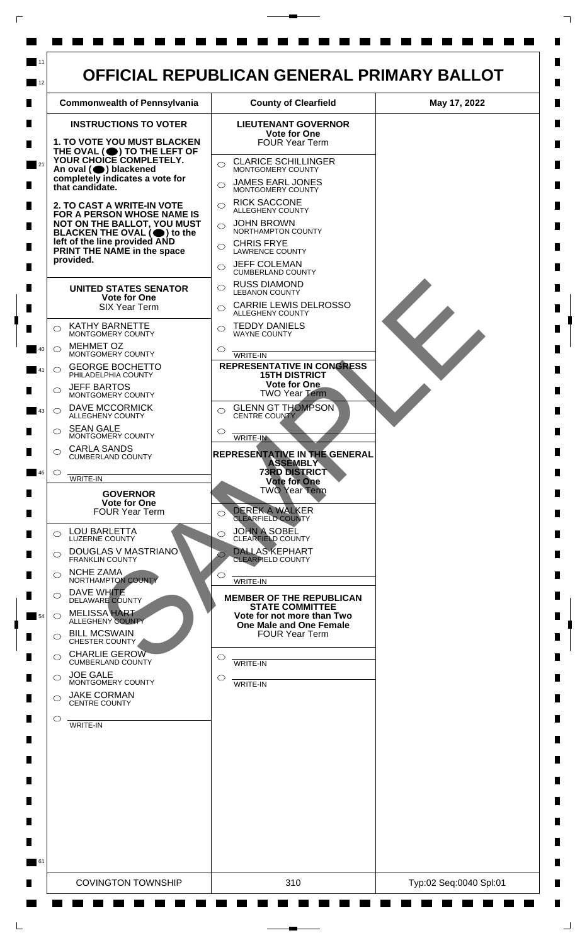

 $\mathsf{L}$ 

 $\Box$